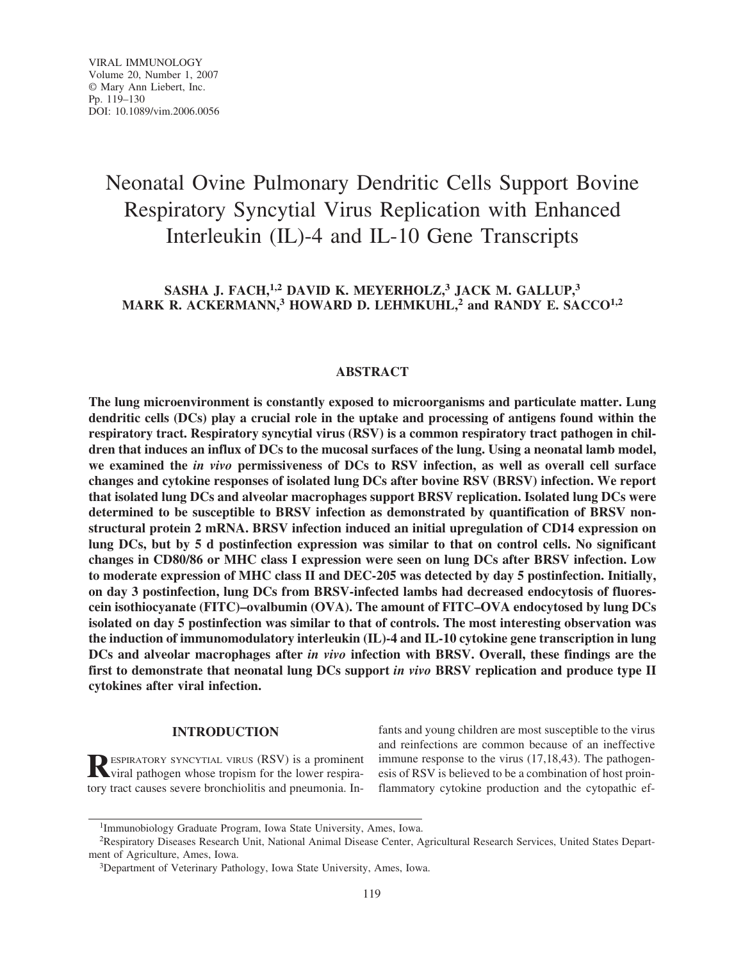# Neonatal Ovine Pulmonary Dendritic Cells Support Bovine Respiratory Syncytial Virus Replication with Enhanced Interleukin (IL)-4 and IL-10 Gene Transcripts

**SASHA J. FACH,1,2 DAVID K. MEYERHOLZ,<sup>3</sup> JACK M. GALLUP,<sup>3</sup> MARK R. ACKERMANN,<sup>3</sup> HOWARD D. LEHMKUHL,<sup>2</sup> and RANDY E. SACCO1,2**

# **ABSTRACT**

**The lung microenvironment is constantly exposed to microorganisms and particulate matter. Lung dendritic cells (DCs) play a crucial role in the uptake and processing of antigens found within the respiratory tract. Respiratory syncytial virus (RSV) is a common respiratory tract pathogen in children that induces an influx of DCs to the mucosal surfaces of the lung. Using a neonatal lamb model, we examined the** *in vivo* **permissiveness of DCs to RSV infection, as well as overall cell surface changes and cytokine responses of isolated lung DCs after bovine RSV (BRSV) infection. We report that isolated lung DCs and alveolar macrophages support BRSV replication. Isolated lung DCs were determined to be susceptible to BRSV infection as demonstrated by quantification of BRSV nonstructural protein 2 mRNA. BRSV infection induced an initial upregulation of CD14 expression on lung DCs, but by 5 d postinfection expression was similar to that on control cells. No significant changes in CD80/86 or MHC class I expression were seen on lung DCs after BRSV infection. Low to moderate expression of MHC class II and DEC-205 was detected by day 5 postinfection. Initially, on day 3 postinfection, lung DCs from BRSV-infected lambs had decreased endocytosis of fluorescein isothiocyanate (FITC)–ovalbumin (OVA). The amount of FITC–OVA endocytosed by lung DCs isolated on day 5 postinfection was similar to that of controls. The most interesting observation was the induction of immunomodulatory interleukin (IL)-4 and IL-10 cytokine gene transcription in lung DCs and alveolar macrophages after** *in vivo* **infection with BRSV. Overall, these findings are the first to demonstrate that neonatal lung DCs support** *in vivo* **BRSV replication and produce type II cytokines after viral infection.**

#### **INTRODUCTION**

**RESPIRATORY SYNCYTIAL VIRUS (RSV) is a prominent** viral pathogen whose tropism for the lower respiratory tract causes severe bronchiolitis and pneumonia. In-

fants and young children are most susceptible to the virus and reinfections are common because of an ineffective immune response to the virus (17,18,43). The pathogenesis of RSV is believed to be a combination of host proinflammatory cytokine production and the cytopathic ef-

<sup>1</sup>Immunobiology Graduate Program, Iowa State University, Ames, Iowa.

<sup>2</sup>Respiratory Diseases Research Unit, National Animal Disease Center, Agricultural Research Services, United States Department of Agriculture, Ames, Iowa.

<sup>3</sup>Department of Veterinary Pathology, Iowa State University, Ames, Iowa.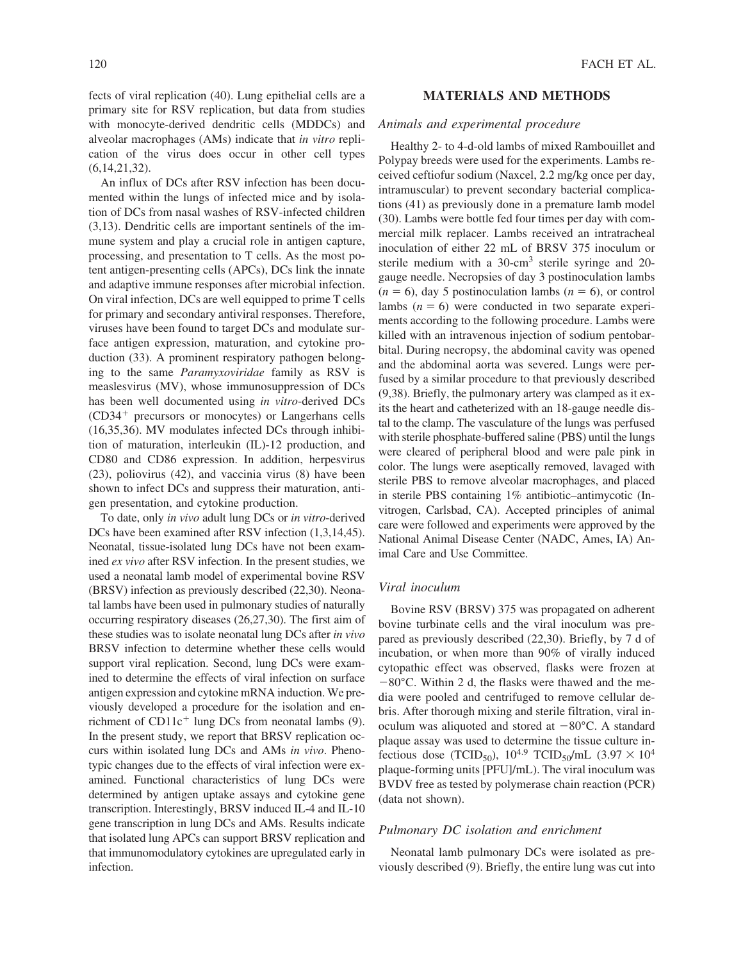fects of viral replication (40). Lung epithelial cells are a primary site for RSV replication, but data from studies with monocyte-derived dendritic cells (MDDCs) and alveolar macrophages (AMs) indicate that *in vitro* replication of the virus does occur in other cell types (6,14,21,32).

An influx of DCs after RSV infection has been documented within the lungs of infected mice and by isolation of DCs from nasal washes of RSV-infected children (3,13). Dendritic cells are important sentinels of the immune system and play a crucial role in antigen capture, processing, and presentation to T cells. As the most potent antigen-presenting cells (APCs), DCs link the innate and adaptive immune responses after microbial infection. On viral infection, DCs are well equipped to prime T cells for primary and secondary antiviral responses. Therefore, viruses have been found to target DCs and modulate surface antigen expression, maturation, and cytokine production (33). A prominent respiratory pathogen belonging to the same *Paramyxoviridae* family as RSV is measlesvirus (MV), whose immunosuppression of DCs has been well documented using *in vitro*-derived DCs (CD34- precursors or monocytes) or Langerhans cells (16,35,36). MV modulates infected DCs through inhibition of maturation, interleukin (IL)-12 production, and CD80 and CD86 expression. In addition, herpesvirus (23), poliovirus (42), and vaccinia virus (8) have been shown to infect DCs and suppress their maturation, antigen presentation, and cytokine production.

To date, only *in vivo* adult lung DCs or *in vitro*-derived DCs have been examined after RSV infection (1,3,14,45). Neonatal, tissue-isolated lung DCs have not been examined *ex vivo* after RSV infection. In the present studies, we used a neonatal lamb model of experimental bovine RSV (BRSV) infection as previously described (22,30). Neonatal lambs have been used in pulmonary studies of naturally occurring respiratory diseases (26,27,30). The first aim of these studies was to isolate neonatal lung DCs after *in vivo* BRSV infection to determine whether these cells would support viral replication. Second, lung DCs were examined to determine the effects of viral infection on surface antigen expression and cytokine mRNA induction. We previously developed a procedure for the isolation and enrichment of  $CD11c<sup>+</sup>$  lung DCs from neonatal lambs (9). In the present study, we report that BRSV replication occurs within isolated lung DCs and AMs *in vivo*. Phenotypic changes due to the effects of viral infection were examined. Functional characteristics of lung DCs were determined by antigen uptake assays and cytokine gene transcription. Interestingly, BRSV induced IL-4 and IL-10 gene transcription in lung DCs and AMs. Results indicate that isolated lung APCs can support BRSV replication and that immunomodulatory cytokines are upregulated early in infection.

# FACH ET AL.

**MATERIALS AND METHODS**

*Animals and experimental procedure*

Healthy 2- to 4-d-old lambs of mixed Rambouillet and Polypay breeds were used for the experiments. Lambs received ceftiofur sodium (Naxcel, 2.2 mg/kg once per day, intramuscular) to prevent secondary bacterial complications (41) as previously done in a premature lamb model (30). Lambs were bottle fed four times per day with commercial milk replacer. Lambs received an intratracheal inoculation of either 22 mL of BRSV 375 inoculum or sterile medium with a  $30$ -cm<sup>3</sup> sterile syringe and 20gauge needle. Necropsies of day 3 postinoculation lambs  $(n = 6)$ , day 5 postinoculation lambs  $(n = 6)$ , or control lambs  $(n = 6)$  were conducted in two separate experiments according to the following procedure. Lambs were killed with an intravenous injection of sodium pentobarbital. During necropsy, the abdominal cavity was opened and the abdominal aorta was severed. Lungs were perfused by a similar procedure to that previously described (9,38). Briefly, the pulmonary artery was clamped as it exits the heart and catheterized with an 18-gauge needle distal to the clamp. The vasculature of the lungs was perfused with sterile phosphate-buffered saline (PBS) until the lungs were cleared of peripheral blood and were pale pink in color. The lungs were aseptically removed, lavaged with sterile PBS to remove alveolar macrophages, and placed in sterile PBS containing 1% antibiotic–antimycotic (Invitrogen, Carlsbad, CA). Accepted principles of animal care were followed and experiments were approved by the National Animal Disease Center (NADC, Ames, IA) Animal Care and Use Committee.

# *Viral inoculum*

Bovine RSV (BRSV) 375 was propagated on adherent bovine turbinate cells and the viral inoculum was prepared as previously described (22,30). Briefly, by 7 d of incubation, or when more than 90% of virally induced cytopathic effect was observed, flasks were frozen at  $-80^{\circ}$ C. Within 2 d, the flasks were thawed and the media were pooled and centrifuged to remove cellular debris. After thorough mixing and sterile filtration, viral inoculum was aliquoted and stored at  $-80^{\circ}$ C. A standard plaque assay was used to determine the tissue culture infectious dose (TCID<sub>50</sub>),  $10^{4.9}$  TCID<sub>50</sub>/mL (3.97  $\times$  10<sup>4</sup> plaque-forming units [PFU]/mL). The viral inoculum was BVDV free as tested by polymerase chain reaction (PCR) (data not shown).

# *Pulmonary DC isolation and enrichment*

Neonatal lamb pulmonary DCs were isolated as previously described (9). Briefly, the entire lung was cut into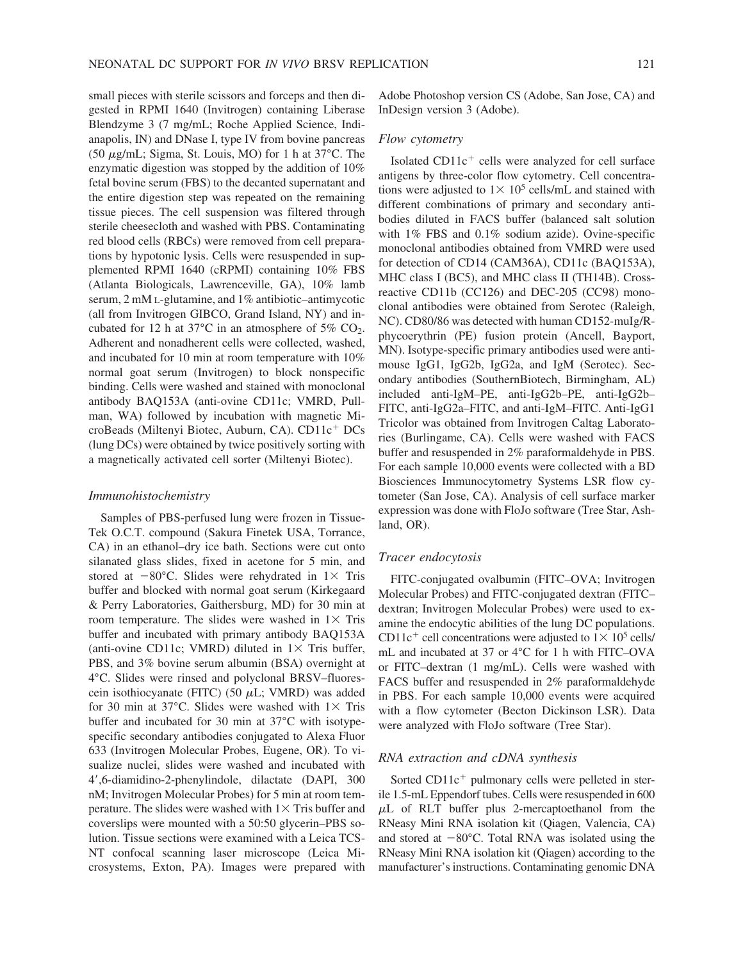small pieces with sterile scissors and forceps and then digested in RPMI 1640 (Invitrogen) containing Liberase Blendzyme 3 (7 mg/mL; Roche Applied Science, Indianapolis, IN) and DNase I, type IV from bovine pancreas  $(50 \ \mu g/mL)$ ; Sigma, St. Louis, MO) for 1 h at 37 $^{\circ}$ C. The enzymatic digestion was stopped by the addition of 10% fetal bovine serum (FBS) to the decanted supernatant and the entire digestion step was repeated on the remaining tissue pieces. The cell suspension was filtered through sterile cheesecloth and washed with PBS. Contaminating red blood cells (RBCs) were removed from cell preparations by hypotonic lysis. Cells were resuspended in supplemented RPMI 1640 (cRPMI) containing 10% FBS (Atlanta Biologicals, Lawrenceville, GA), 10% lamb serum, 2 mM L-glutamine, and 1% antibiotic–antimycotic (all from Invitrogen GIBCO, Grand Island, NY) and incubated for 12 h at  $37^{\circ}$ C in an atmosphere of  $5\%$  CO<sub>2</sub>. Adherent and nonadherent cells were collected, washed, and incubated for 10 min at room temperature with 10% normal goat serum (Invitrogen) to block nonspecific binding. Cells were washed and stained with monoclonal antibody BAQ153A (anti-ovine CD11c; VMRD, Pullman, WA) followed by incubation with magnetic MicroBeads (Miltenyi Biotec, Auburn, CA). CD11c<sup>+</sup> DCs (lung DCs) were obtained by twice positively sorting with a magnetically activated cell sorter (Miltenyi Biotec).

#### *Immunohistochemistry*

Samples of PBS-perfused lung were frozen in Tissue-Tek O.C.T. compound (Sakura Finetek USA, Torrance, CA) in an ethanol–dry ice bath. Sections were cut onto silanated glass slides, fixed in acetone for 5 min, and stored at  $-80^{\circ}$ C. Slides were rehydrated in  $1 \times$  Tris buffer and blocked with normal goat serum (Kirkegaard & Perry Laboratories, Gaithersburg, MD) for 30 min at room temperature. The slides were washed in  $1 \times$  Tris buffer and incubated with primary antibody BAQ153A (anti-ovine CD11c; VMRD) diluted in  $1 \times$  Tris buffer, PBS, and 3% bovine serum albumin (BSA) overnight at 4°C. Slides were rinsed and polyclonal BRSV–fluorescein isothiocyanate (FITC) (50  $\mu$ L; VMRD) was added for 30 min at 37°C. Slides were washed with  $1\times$  Tris buffer and incubated for 30 min at 37°C with isotypespecific secondary antibodies conjugated to Alexa Fluor 633 (Invitrogen Molecular Probes, Eugene, OR). To visualize nuclei, slides were washed and incubated with 4,6-diamidino-2-phenylindole, dilactate (DAPI, 300 nM; Invitrogen Molecular Probes) for 5 min at room temperature. The slides were washed with  $1 \times$  Tris buffer and coverslips were mounted with a 50:50 glycerin–PBS solution. Tissue sections were examined with a Leica TCS-NT confocal scanning laser microscope (Leica Microsystems, Exton, PA). Images were prepared with

Adobe Photoshop version CS (Adobe, San Jose, CA) and InDesign version 3 (Adobe).

# *Flow cytometry*

Isolated CD11c<sup>+</sup> cells were analyzed for cell surface antigens by three-color flow cytometry. Cell concentrations were adjusted to  $1 \times 10^5$  cells/mL and stained with different combinations of primary and secondary antibodies diluted in FACS buffer (balanced salt solution with 1% FBS and 0.1% sodium azide). Ovine-specific monoclonal antibodies obtained from VMRD were used for detection of CD14 (CAM36A), CD11c (BAQ153A), MHC class I (BC5), and MHC class II (TH14B). Crossreactive CD11b (CC126) and DEC-205 (CC98) monoclonal antibodies were obtained from Serotec (Raleigh, NC). CD80/86 was detected with human CD152-muIg/Rphycoerythrin (PE) fusion protein (Ancell, Bayport, MN). Isotype-specific primary antibodies used were antimouse IgG1, IgG2b, IgG2a, and IgM (Serotec). Secondary antibodies (SouthernBiotech, Birmingham, AL) included anti-IgM–PE, anti-IgG2b–PE, anti-IgG2b– FITC, anti-IgG2a–FITC, and anti-IgM–FITC. Anti-IgG1 Tricolor was obtained from Invitrogen Caltag Laboratories (Burlingame, CA). Cells were washed with FACS buffer and resuspended in 2% paraformaldehyde in PBS. For each sample 10,000 events were collected with a BD Biosciences Immunocytometry Systems LSR flow cytometer (San Jose, CA). Analysis of cell surface marker expression was done with FloJo software (Tree Star, Ashland, OR).

#### *Tracer endocytosis*

FITC-conjugated ovalbumin (FITC–OVA; Invitrogen Molecular Probes) and FITC-conjugated dextran (FITC– dextran; Invitrogen Molecular Probes) were used to examine the endocytic abilities of the lung DC populations. CD11c<sup>+</sup> cell concentrations were adjusted to  $1 \times 10^5$  cells/ mL and incubated at 37 or 4°C for 1 h with FITC–OVA or FITC–dextran (1 mg/mL). Cells were washed with FACS buffer and resuspended in 2% paraformaldehyde in PBS. For each sample 10,000 events were acquired with a flow cytometer (Becton Dickinson LSR). Data were analyzed with FloJo software (Tree Star).

#### *RNA extraction and cDNA synthesis*

Sorted CD11c<sup>+</sup> pulmonary cells were pelleted in sterile 1.5-mL Eppendorf tubes. Cells were resuspended in 600  $\mu$ L of RLT buffer plus 2-mercaptoethanol from the RNeasy Mini RNA isolation kit (Qiagen, Valencia, CA) and stored at  $-80^{\circ}$ C. Total RNA was isolated using the RNeasy Mini RNA isolation kit (Qiagen) according to the manufacturer's instructions. Contaminating genomic DNA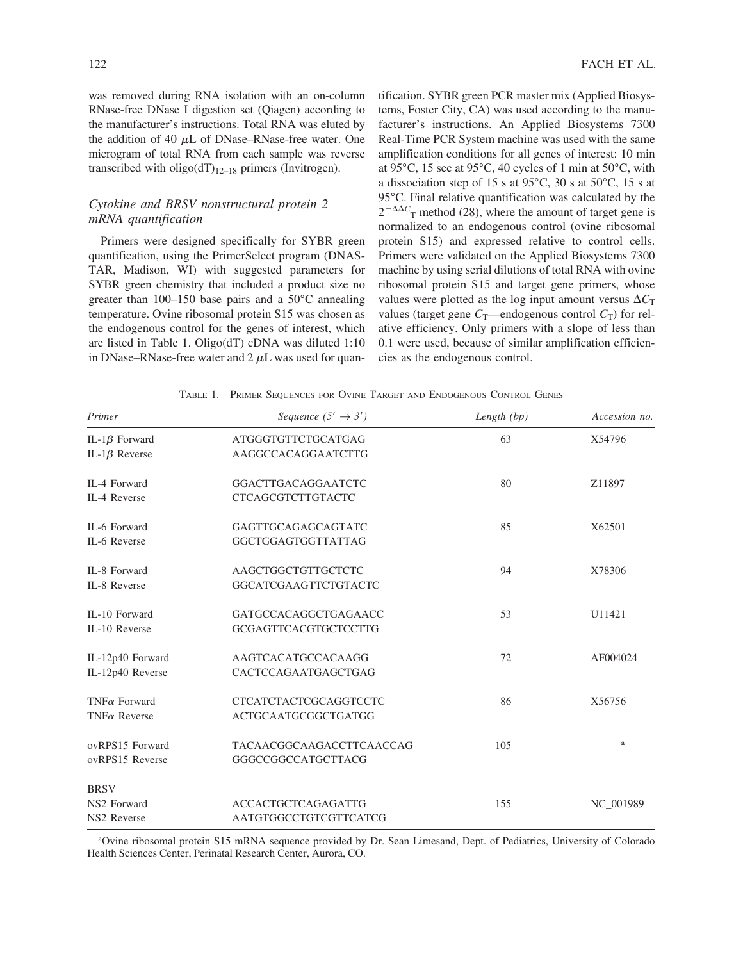was removed during RNA isolation with an on-column RNase-free DNase I digestion set (Qiagen) according to the manufacturer's instructions. Total RNA was eluted by the addition of  $40 \mu L$  of DNase–RNase-free water. One microgram of total RNA from each sample was reverse transcribed with oligo( $dT$ )<sub>12–18</sub> primers (Invitrogen).

# *Cytokine and BRSV nonstructural protein 2 mRNA quantification*

Primers were designed specifically for SYBR green quantification, using the PrimerSelect program (DNAS-TAR, Madison, WI) with suggested parameters for SYBR green chemistry that included a product size no greater than 100–150 base pairs and a 50°C annealing temperature. Ovine ribosomal protein S15 was chosen as the endogenous control for the genes of interest, which are listed in Table 1. Oligo(dT) cDNA was diluted 1:10 in DNase–RNase-free water and  $2 \mu L$  was used for quantification. SYBR green PCR master mix (Applied Biosystems, Foster City, CA) was used according to the manufacturer's instructions. An Applied Biosystems 7300 Real-Time PCR System machine was used with the same amplification conditions for all genes of interest: 10 min at 95°C, 15 sec at 95°C, 40 cycles of 1 min at 50°C, with a dissociation step of 15 s at 95°C, 30 s at 50°C, 15 s at 95°C. Final relative quantification was calculated by the  $2^{-\Delta\Delta}C$ <sub>T</sub> method (28), where the amount of target gene is normalized to an endogenous control (ovine ribosomal protein S15) and expressed relative to control cells. Primers were validated on the Applied Biosystems 7300 machine by using serial dilutions of total RNA with ovine ribosomal protein S15 and target gene primers, whose values were plotted as the log input amount versus  $\Delta C_T$ values (target gene  $C_T$ —endogenous control  $C_T$ ) for relative efficiency. Only primers with a slope of less than 0.1 were used, because of similar amplification efficiencies as the endogenous control.

TABLE 1. PRIMER SEQUENCES FOR OVINE TARGET AND ENDOGENOUS CONTROL GENES

| Primer                  | Sequence $(5' \rightarrow 3')$  | Length $(bp)$ | Accession no. |
|-------------------------|---------------------------------|---------------|---------------|
| IL-1 $\beta$ Forward    | ATGGGTGTTCTGCATGAG              | 63            | X54796        |
| IL-1 $\beta$ Reverse    | AAGGCCACAGGAATCTTG              |               |               |
| IL-4 Forward            | GGACTTGACAGGAATCTC              | 80            | Z11897        |
| IL-4 Reverse            | CTCAGCGTCTTGTACTC               |               |               |
| IL-6 Forward            | GAGTTGCAGAGCAGTATC              | 85            | X62501        |
| IL-6 Reverse            | GGCTGGAGTGGTTATTAG              |               |               |
| IL-8 Forward            | AAGCTGGCTGTTGCTCTC              | 94            | X78306        |
| IL-8 Reverse            | <b>GGCATCGAAGTTCTGTACTC</b>     |               |               |
| IL-10 Forward           | GATGCCACAGGCTGAGAACC            | 53            | U11421        |
| IL-10 Reverse           | <b>GCGAGTTCACGTGCTCCTTG</b>     |               |               |
| IL-12p40 Forward        | AAGTCACATGCCACAAGG              | 72            | AF004024      |
| IL-12p40 Reverse        | CACTCCAGAATGAGCTGAG             |               |               |
| $TNF\alpha$ Forward     | <b>CTCATCTACTCGCAGGTCCTC</b>    | 86            | X56756        |
| $TNF\alpha$ Reverse     | ACTGCAATGCGGCTGATGG             |               |               |
| ovRPS15 Forward         | <b>TACAACGGCAAGACCTTCAACCAG</b> | 105           | $\mathbf{a}$  |
| ovRPS15 Reverse         | GGGCCGGCCATGCTTACG              |               |               |
| <b>BRSV</b>             |                                 |               |               |
| NS <sub>2</sub> Forward | <b>ACCACTGCTCAGAGATTG</b>       | 155           | NC 001989     |
| NS <sub>2</sub> Reverse | AATGTGGCCTGTCGTTCATCG           |               |               |

a Ovine ribosomal protein S15 mRNA sequence provided by Dr. Sean Limesand, Dept. of Pediatrics, University of Colorado Health Sciences Center, Perinatal Research Center, Aurora, CO.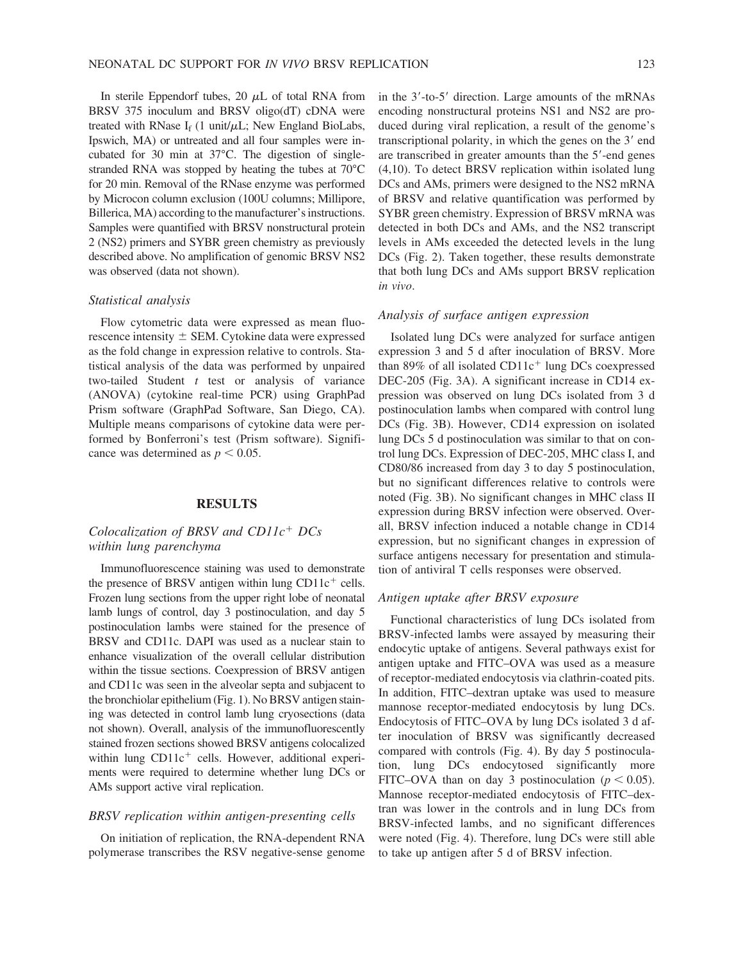In sterile Eppendorf tubes,  $20 \mu L$  of total RNA from BRSV 375 inoculum and BRSV oligo(dT) cDNA were treated with RNase  $I_f$  (1 unit/ $\mu$ L; New England BioLabs, Ipswich, MA) or untreated and all four samples were incubated for 30 min at 37°C. The digestion of singlestranded RNA was stopped by heating the tubes at 70°C for 20 min. Removal of the RNase enzyme was performed by Microcon column exclusion (100U columns; Millipore, Billerica, MA) according to the manufacturer's instructions. Samples were quantified with BRSV nonstructural protein 2 (NS2) primers and SYBR green chemistry as previously described above. No amplification of genomic BRSV NS2 was observed (data not shown).

#### *Statistical analysis*

Flow cytometric data were expressed as mean fluorescence intensity  $\pm$  SEM. Cytokine data were expressed as the fold change in expression relative to controls. Statistical analysis of the data was performed by unpaired two-tailed Student *t* test or analysis of variance (ANOVA) (cytokine real-time PCR) using GraphPad Prism software (GraphPad Software, San Diego, CA). Multiple means comparisons of cytokine data were performed by Bonferroni's test (Prism software). Significance was determined as  $p \leq 0.05$ .

### **RESULTS**

# *Colocalization of BRSV and CD11c*- *DCs within lung parenchyma*

Immunofluorescence staining was used to demonstrate the presence of BRSV antigen within lung  $CD11c<sup>+</sup>$  cells. Frozen lung sections from the upper right lobe of neonatal lamb lungs of control, day 3 postinoculation, and day 5 postinoculation lambs were stained for the presence of BRSV and CD11c. DAPI was used as a nuclear stain to enhance visualization of the overall cellular distribution within the tissue sections. Coexpression of BRSV antigen and CD11c was seen in the alveolar septa and subjacent to the bronchiolar epithelium (Fig. 1). No BRSV antigen staining was detected in control lamb lung cryosections (data not shown). Overall, analysis of the immunofluorescently stained frozen sections showed BRSV antigens colocalized within lung CD11c<sup>+</sup> cells. However, additional experiments were required to determine whether lung DCs or AMs support active viral replication.

#### *BRSV replication within antigen-presenting cells*

On initiation of replication, the RNA-dependent RNA polymerase transcribes the RSV negative-sense genome in the 3'-to-5' direction. Large amounts of the mRNAs encoding nonstructural proteins NS1 and NS2 are produced during viral replication, a result of the genome's transcriptional polarity, in which the genes on the 3' end are transcribed in greater amounts than the 5'-end genes (4,10). To detect BRSV replication within isolated lung DCs and AMs, primers were designed to the NS2 mRNA of BRSV and relative quantification was performed by SYBR green chemistry. Expression of BRSV mRNA was detected in both DCs and AMs, and the NS2 transcript levels in AMs exceeded the detected levels in the lung DCs (Fig. 2). Taken together, these results demonstrate that both lung DCs and AMs support BRSV replication *in vivo*.

### *Analysis of surface antigen expression*

Isolated lung DCs were analyzed for surface antigen expression 3 and 5 d after inoculation of BRSV. More than 89% of all isolated CD11c<sup>+</sup> lung DCs coexpressed DEC-205 (Fig. 3A). A significant increase in CD14 expression was observed on lung DCs isolated from 3 d postinoculation lambs when compared with control lung DCs (Fig. 3B). However, CD14 expression on isolated lung DCs 5 d postinoculation was similar to that on control lung DCs. Expression of DEC-205, MHC class I, and CD80/86 increased from day 3 to day 5 postinoculation, but no significant differences relative to controls were noted (Fig. 3B). No significant changes in MHC class II expression during BRSV infection were observed. Overall, BRSV infection induced a notable change in CD14 expression, but no significant changes in expression of surface antigens necessary for presentation and stimulation of antiviral T cells responses were observed.

#### *Antigen uptake after BRSV exposure*

Functional characteristics of lung DCs isolated from BRSV-infected lambs were assayed by measuring their endocytic uptake of antigens. Several pathways exist for antigen uptake and FITC–OVA was used as a measure of receptor-mediated endocytosis via clathrin-coated pits. In addition, FITC–dextran uptake was used to measure mannose receptor-mediated endocytosis by lung DCs. Endocytosis of FITC–OVA by lung DCs isolated 3 d after inoculation of BRSV was significantly decreased compared with controls (Fig. 4). By day 5 postinoculation, lung DCs endocytosed significantly more FITC–OVA than on day 3 postinoculation ( $p \le 0.05$ ). Mannose receptor-mediated endocytosis of FITC–dextran was lower in the controls and in lung DCs from BRSV-infected lambs, and no significant differences were noted (Fig. 4). Therefore, lung DCs were still able to take up antigen after 5 d of BRSV infection.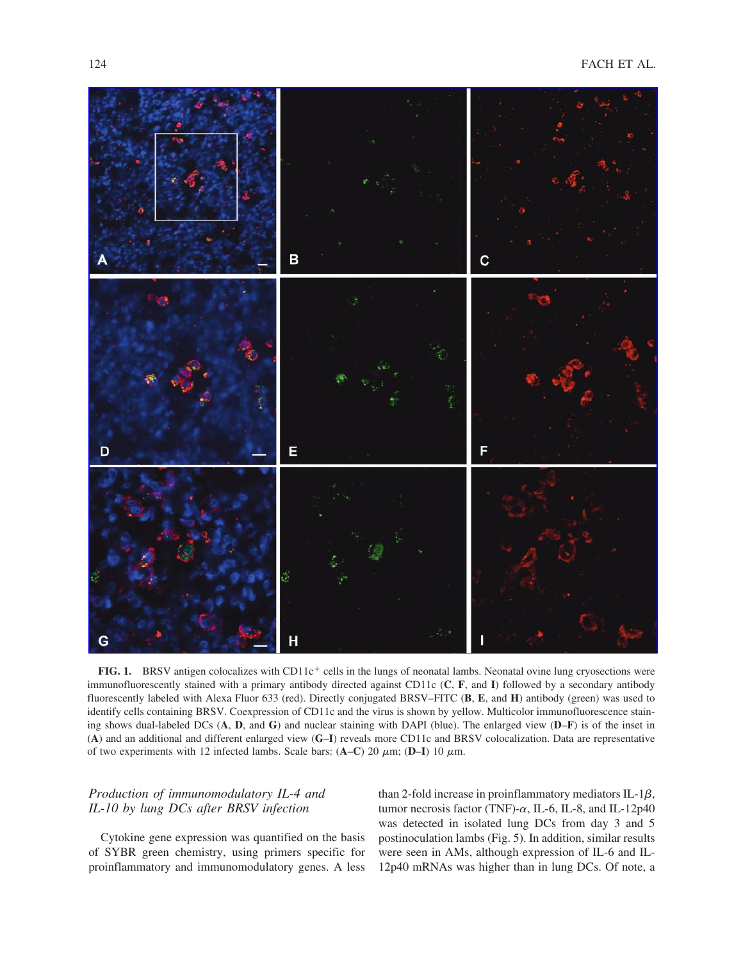

FIG. 1. BRSV antigen colocalizes with CD11c<sup>+</sup> cells in the lungs of neonatal lambs. Neonatal ovine lung cryosections were immunofluorescently stained with a primary antibody directed against CD11c (**C**, **F**, and **I**) followed by a secondary antibody fluorescently labeled with Alexa Fluor 633 (red). Directly conjugated BRSV–FITC (**B**, **E**, and **H**) antibody (green) was used to identify cells containing BRSV. Coexpression of CD11c and the virus is shown by yellow. Multicolor immunofluorescence staining shows dual-labeled DCs (**A**, **D**, and **G**) and nuclear staining with DAPI (blue). The enlarged view (**D**–**F**) is of the inset in (**A**) and an additional and different enlarged view (**G**–**I**) reveals more CD11c and BRSV colocalization. Data are representative of two experiments with 12 infected lambs. Scale bars:  $(A-C)$  20  $\mu$ m;  $(D-I)$  10  $\mu$ m.

# *Production of immunomodulatory IL-4 and IL-10 by lung DCs after BRSV infection*

Cytokine gene expression was quantified on the basis of SYBR green chemistry, using primers specific for proinflammatory and immunomodulatory genes. A less than 2-fold increase in proinflammatory mediators IL-1 $\beta$ , tumor necrosis factor (TNF)- $\alpha$ , IL-6, IL-8, and IL-12p40 was detected in isolated lung DCs from day 3 and 5 postinoculation lambs (Fig. 5). In addition, similar results were seen in AMs, although expression of IL-6 and IL-12p40 mRNAs was higher than in lung DCs. Of note, a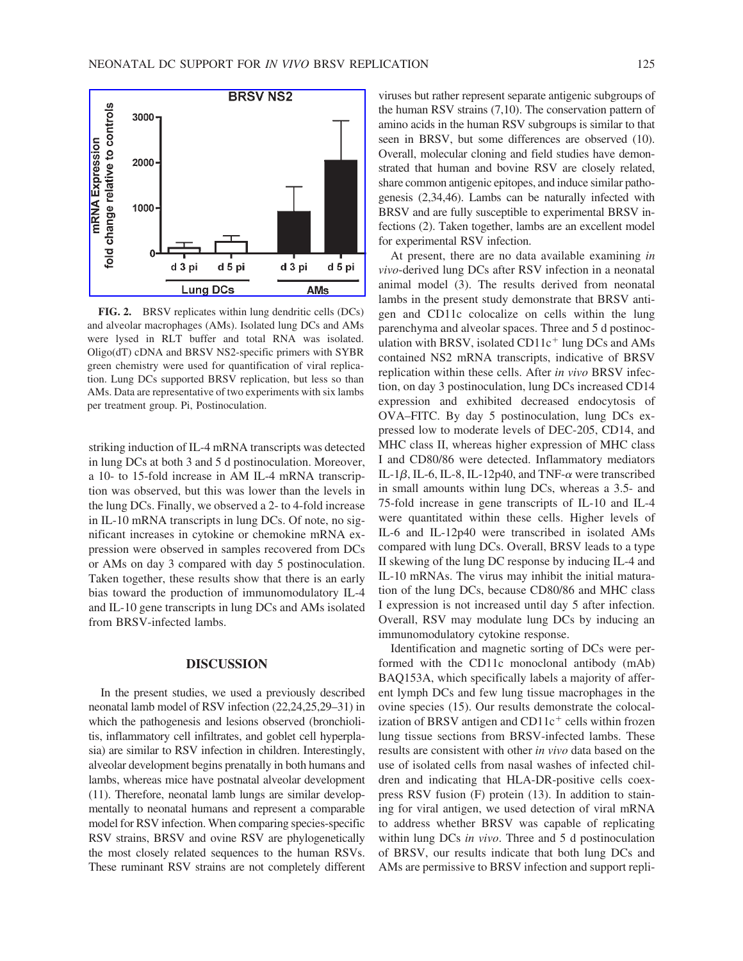

**FIG. 2.** BRSV replicates within lung dendritic cells (DCs) and alveolar macrophages (AMs). Isolated lung DCs and AMs were lysed in RLT buffer and total RNA was isolated. Oligo(dT) cDNA and BRSV NS2-specific primers with SYBR green chemistry were used for quantification of viral replication. Lung DCs supported BRSV replication, but less so than AMs. Data are representative of two experiments with six lambs per treatment group. Pi, Postinoculation.

striking induction of IL-4 mRNA transcripts was detected in lung DCs at both 3 and 5 d postinoculation. Moreover, a 10- to 15-fold increase in AM IL-4 mRNA transcription was observed, but this was lower than the levels in the lung DCs. Finally, we observed a 2- to 4-fold increase in IL-10 mRNA transcripts in lung DCs. Of note, no significant increases in cytokine or chemokine mRNA expression were observed in samples recovered from DCs or AMs on day 3 compared with day 5 postinoculation. Taken together, these results show that there is an early bias toward the production of immunomodulatory IL-4 and IL-10 gene transcripts in lung DCs and AMs isolated from BRSV-infected lambs.

#### **DISCUSSION**

In the present studies, we used a previously described neonatal lamb model of RSV infection (22,24,25,29–31) in which the pathogenesis and lesions observed (bronchiolitis, inflammatory cell infiltrates, and goblet cell hyperplasia) are similar to RSV infection in children. Interestingly, alveolar development begins prenatally in both humans and lambs, whereas mice have postnatal alveolar development (11). Therefore, neonatal lamb lungs are similar developmentally to neonatal humans and represent a comparable model for RSV infection. When comparing species-specific RSV strains, BRSV and ovine RSV are phylogenetically the most closely related sequences to the human RSVs. These ruminant RSV strains are not completely different viruses but rather represent separate antigenic subgroups of the human RSV strains (7,10). The conservation pattern of amino acids in the human RSV subgroups is similar to that seen in BRSV, but some differences are observed (10). Overall, molecular cloning and field studies have demonstrated that human and bovine RSV are closely related, share common antigenic epitopes, and induce similar pathogenesis (2,34,46). Lambs can be naturally infected with BRSV and are fully susceptible to experimental BRSV infections (2). Taken together, lambs are an excellent model for experimental RSV infection.

At present, there are no data available examining *in vivo*-derived lung DCs after RSV infection in a neonatal animal model (3). The results derived from neonatal lambs in the present study demonstrate that BRSV antigen and CD11c colocalize on cells within the lung parenchyma and alveolar spaces. Three and 5 d postinoculation with BRSV, isolated  $CD11c<sup>+</sup>$  lung DCs and AMs contained NS2 mRNA transcripts, indicative of BRSV replication within these cells. After *in vivo* BRSV infection, on day 3 postinoculation, lung DCs increased CD14 expression and exhibited decreased endocytosis of OVA–FITC. By day 5 postinoculation, lung DCs expressed low to moderate levels of DEC-205, CD14, and MHC class II, whereas higher expression of MHC class I and CD80/86 were detected. Inflammatory mediators IL-1 $\beta$ , IL-6, IL-8, IL-12p40, and TNF- $\alpha$  were transcribed in small amounts within lung DCs, whereas a 3.5- and 75-fold increase in gene transcripts of IL-10 and IL-4 were quantitated within these cells. Higher levels of IL-6 and IL-12p40 were transcribed in isolated AMs compared with lung DCs. Overall, BRSV leads to a type II skewing of the lung DC response by inducing IL-4 and IL-10 mRNAs. The virus may inhibit the initial maturation of the lung DCs, because CD80/86 and MHC class I expression is not increased until day 5 after infection. Overall, RSV may modulate lung DCs by inducing an immunomodulatory cytokine response.

Identification and magnetic sorting of DCs were performed with the CD11c monoclonal antibody (mAb) BAQ153A, which specifically labels a majority of afferent lymph DCs and few lung tissue macrophages in the ovine species (15). Our results demonstrate the colocalization of BRSV antigen and  $CD11c<sup>+</sup>$  cells within frozen lung tissue sections from BRSV-infected lambs. These results are consistent with other *in vivo* data based on the use of isolated cells from nasal washes of infected children and indicating that HLA-DR-positive cells coexpress RSV fusion (F) protein (13). In addition to staining for viral antigen, we used detection of viral mRNA to address whether BRSV was capable of replicating within lung DCs *in vivo*. Three and 5 d postinoculation of BRSV, our results indicate that both lung DCs and AMs are permissive to BRSV infection and support repli-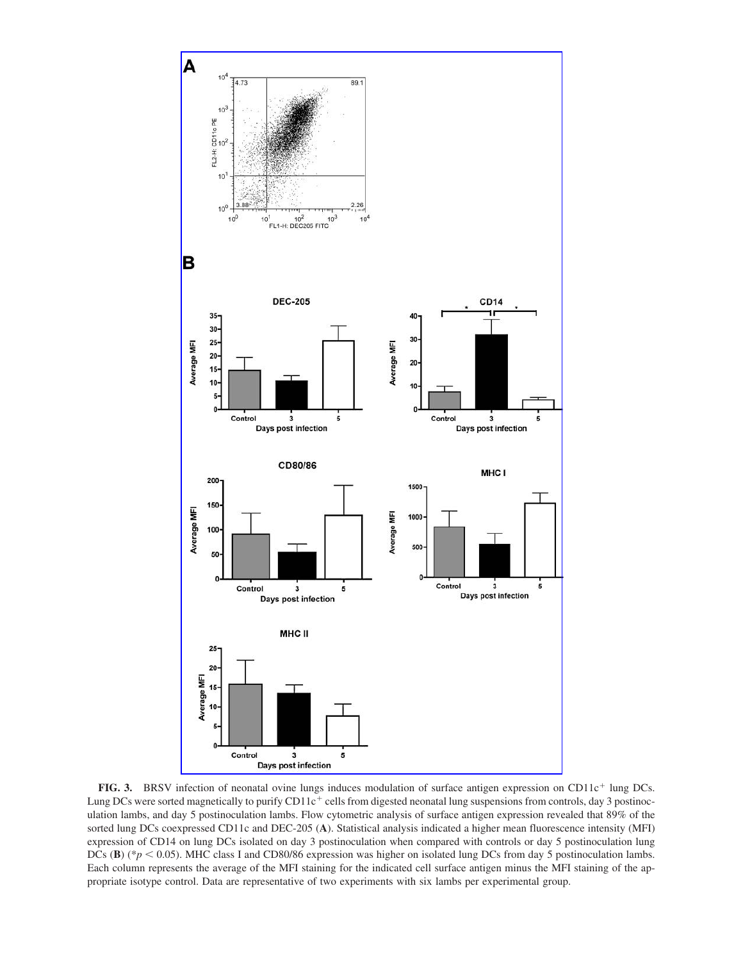

FIG. 3. BRSV infection of neonatal ovine lungs induces modulation of surface antigen expression on CD11c<sup>+</sup> lung DCs. Lung DCs were sorted magnetically to purify  $CD11c^+$  cells from digested neonatal lung suspensions from controls, day 3 postinoculation lambs, and day 5 postinoculation lambs. Flow cytometric analysis of surface antigen expression revealed that 89% of the sorted lung DCs coexpressed CD11c and DEC-205 (**A**). Statistical analysis indicated a higher mean fluorescence intensity (MFI) expression of CD14 on lung DCs isolated on day 3 postinoculation when compared with controls or day 5 postinoculation lung DCs (**B**) ( $*p$  < 0.05). MHC class I and CD80/86 expression was higher on isolated lung DCs from day 5 postinoculation lambs. Each column represents the average of the MFI staining for the indicated cell surface antigen minus the MFI staining of the appropriate isotype control. Data are representative of two experiments with six lambs per experimental group.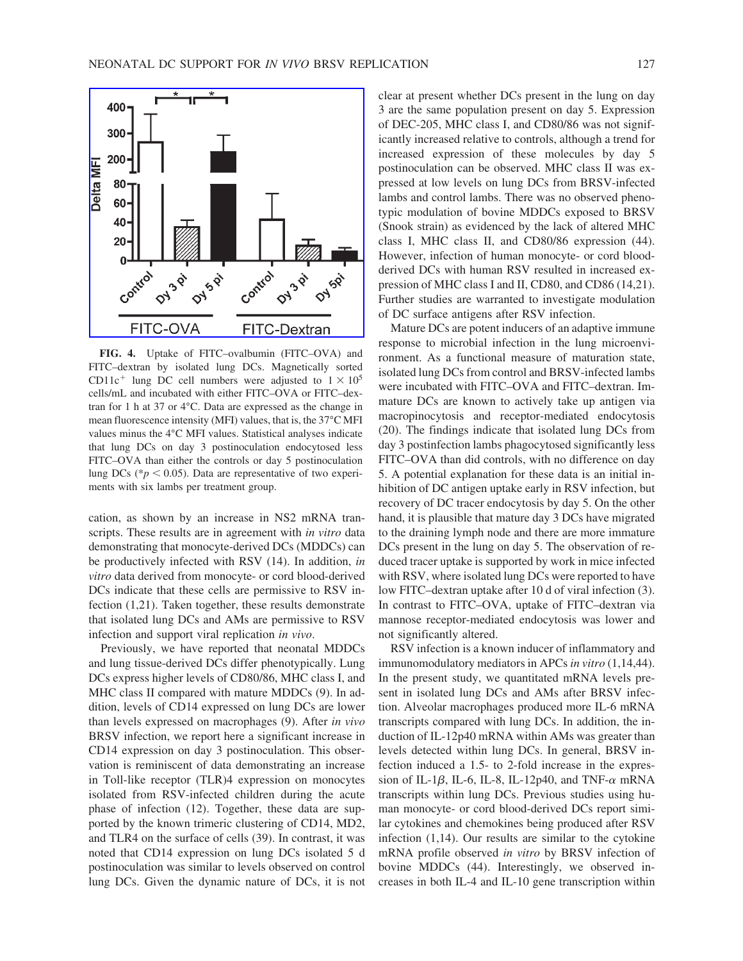

**FIG. 4.** Uptake of FITC–ovalbumin (FITC–OVA) and FITC–dextran by isolated lung DCs. Magnetically sorted CD11c<sup>+</sup> lung DC cell numbers were adjusted to  $1 \times 10^5$ cells/mL and incubated with either FITC–OVA or FITC–dextran for 1 h at 37 or 4°C. Data are expressed as the change in mean fluorescence intensity (MFI) values, that is, the 37°C MFI values minus the 4°C MFI values. Statistical analyses indicate that lung DCs on day 3 postinoculation endocytosed less FITC–OVA than either the controls or day 5 postinoculation lung DCs ( $p < 0.05$ ). Data are representative of two experiments with six lambs per treatment group.

cation, as shown by an increase in NS2 mRNA transcripts. These results are in agreement with *in vitro* data demonstrating that monocyte-derived DCs (MDDCs) can be productively infected with RSV (14). In addition, *in vitro* data derived from monocyte- or cord blood-derived DCs indicate that these cells are permissive to RSV infection (1,21). Taken together, these results demonstrate that isolated lung DCs and AMs are permissive to RSV infection and support viral replication *in vivo*.

Previously, we have reported that neonatal MDDCs and lung tissue-derived DCs differ phenotypically. Lung DCs express higher levels of CD80/86, MHC class I, and MHC class II compared with mature MDDCs (9). In addition, levels of CD14 expressed on lung DCs are lower than levels expressed on macrophages (9). After *in vivo* BRSV infection, we report here a significant increase in CD14 expression on day 3 postinoculation. This observation is reminiscent of data demonstrating an increase in Toll-like receptor (TLR)4 expression on monocytes isolated from RSV-infected children during the acute phase of infection (12). Together, these data are supported by the known trimeric clustering of CD14, MD2, and TLR4 on the surface of cells (39). In contrast, it was noted that CD14 expression on lung DCs isolated 5 d postinoculation was similar to levels observed on control lung DCs. Given the dynamic nature of DCs, it is not clear at present whether DCs present in the lung on day 3 are the same population present on day 5. Expression of DEC-205, MHC class I, and CD80/86 was not significantly increased relative to controls, although a trend for increased expression of these molecules by day 5 postinoculation can be observed. MHC class II was expressed at low levels on lung DCs from BRSV-infected lambs and control lambs. There was no observed phenotypic modulation of bovine MDDCs exposed to BRSV (Snook strain) as evidenced by the lack of altered MHC class I, MHC class II, and CD80/86 expression (44). However, infection of human monocyte- or cord bloodderived DCs with human RSV resulted in increased expression of MHC class I and II, CD80, and CD86 (14,21). Further studies are warranted to investigate modulation of DC surface antigens after RSV infection.

Mature DCs are potent inducers of an adaptive immune response to microbial infection in the lung microenvironment. As a functional measure of maturation state, isolated lung DCs from control and BRSV-infected lambs were incubated with FITC–OVA and FITC–dextran. Immature DCs are known to actively take up antigen via macropinocytosis and receptor-mediated endocytosis (20). The findings indicate that isolated lung DCs from day 3 postinfection lambs phagocytosed significantly less FITC–OVA than did controls, with no difference on day 5. A potential explanation for these data is an initial inhibition of DC antigen uptake early in RSV infection, but recovery of DC tracer endocytosis by day 5. On the other hand, it is plausible that mature day 3 DCs have migrated to the draining lymph node and there are more immature DCs present in the lung on day 5. The observation of reduced tracer uptake is supported by work in mice infected with RSV, where isolated lung DCs were reported to have low FITC–dextran uptake after 10 d of viral infection (3). In contrast to FITC–OVA, uptake of FITC–dextran via mannose receptor-mediated endocytosis was lower and not significantly altered.

RSV infection is a known inducer of inflammatory and immunomodulatory mediators in APCs *in vitro* (1,14,44). In the present study, we quantitated mRNA levels present in isolated lung DCs and AMs after BRSV infection. Alveolar macrophages produced more IL-6 mRNA transcripts compared with lung DCs. In addition, the induction of IL-12p40 mRNA within AMs was greater than levels detected within lung DCs. In general, BRSV infection induced a 1.5- to 2-fold increase in the expression of IL-1 $\beta$ , IL-6, IL-8, IL-12p40, and TNF- $\alpha$  mRNA transcripts within lung DCs. Previous studies using human monocyte- or cord blood-derived DCs report similar cytokines and chemokines being produced after RSV infection (1,14). Our results are similar to the cytokine mRNA profile observed *in vitro* by BRSV infection of bovine MDDCs (44). Interestingly, we observed increases in both IL-4 and IL-10 gene transcription within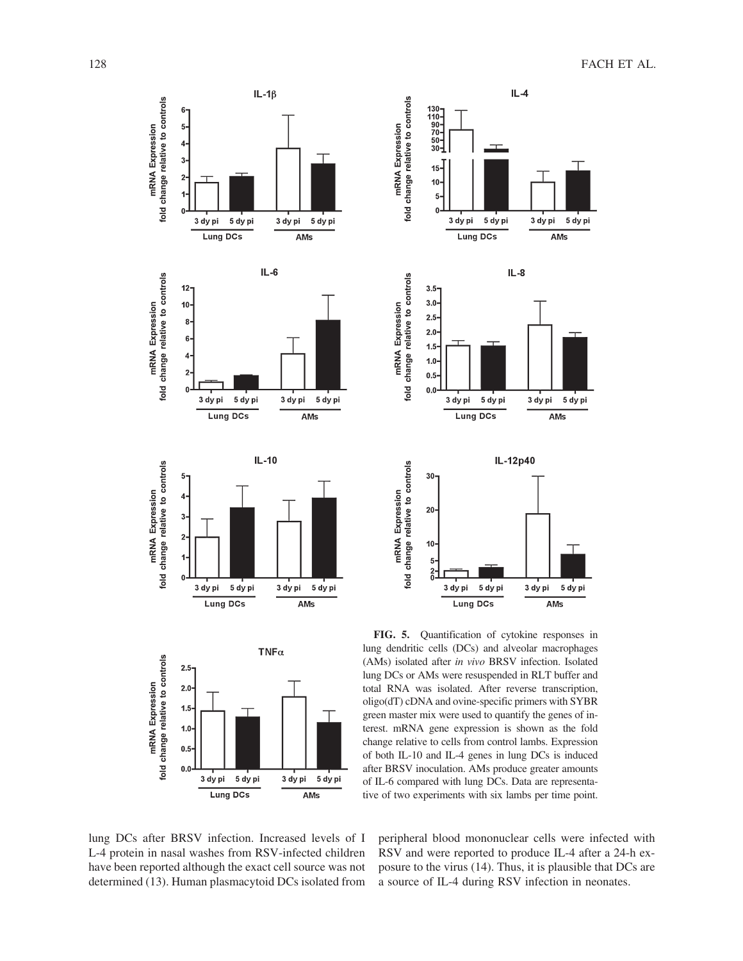





**FIG. 5.** Quantification of cytokine responses in lung dendritic cells (DCs) and alveolar macrophages (AMs) isolated after *in vivo* BRSV infection. Isolated lung DCs or AMs were resuspended in RLT buffer and total RNA was isolated. After reverse transcription, oligo(dT) cDNA and ovine-specific primers with SYBR green master mix were used to quantify the genes of interest. mRNA gene expression is shown as the fold change relative to cells from control lambs. Expression of both IL-10 and IL-4 genes in lung DCs is induced after BRSV inoculation. AMs produce greater amounts of IL-6 compared with lung DCs. Data are representative of two experiments with six lambs per time point.

lung DCs after BRSV infection. Increased levels of I L-4 protein in nasal washes from RSV-infected children have been reported although the exact cell source was not determined (13). Human plasmacytoid DCs isolated from

peripheral blood mononuclear cells were infected with RSV and were reported to produce IL-4 after a 24-h exposure to the virus (14). Thus, it is plausible that DCs are a source of IL-4 during RSV infection in neonates.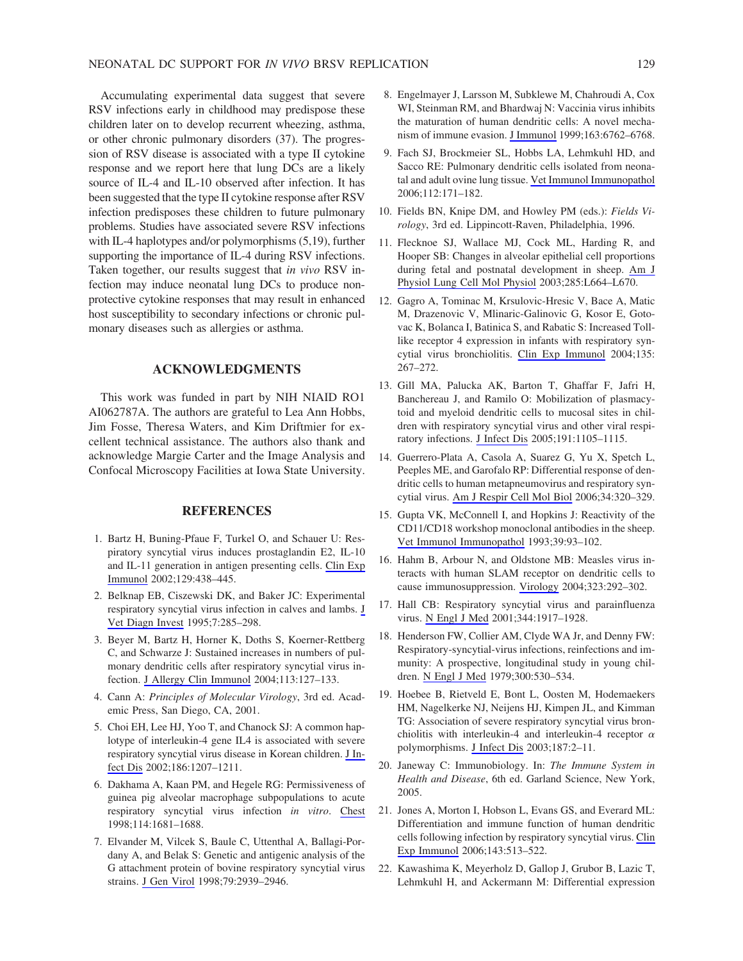Accumulating experimental data suggest that severe RSV infections early in childhood may predispose these children later on to develop recurrent wheezing, asthma, or other chronic pulmonary disorders (37). The progression of RSV disease is associated with a type II cytokine response and we report here that lung DCs are a likely source of IL-4 and IL-10 observed after infection. It has been suggested that the type II cytokine response after RSV infection predisposes these children to future pulmonary problems. Studies have associated severe RSV infections with IL-4 haplotypes and/or polymorphisms (5,19), further supporting the importance of IL-4 during RSV infections. Taken together, our results suggest that *in vivo* RSV infection may induce neonatal lung DCs to produce nonprotective cytokine responses that may result in enhanced host susceptibility to secondary infections or chronic pulmonary diseases such as allergies or asthma.

# **ACKNOWLEDGMENTS**

This work was funded in part by NIH NIAID RO1 AI062787A. The authors are grateful to Lea Ann Hobbs, Jim Fosse, Theresa Waters, and Kim Driftmier for excellent technical assistance. The authors also thank and acknowledge Margie Carter and the Image Analysis and Confocal Microscopy Facilities at Iowa State University.

#### **REFERENCES**

- 1. Bartz H, Buning-Pfaue F, Turkel O, and Schauer U: Respiratory syncytial virus induces prostaglandin E2, IL-10 and IL-11 generation in antigen presenting cells. Clin Exp Immunol 2002;129:438–445.
- 2. Belknap EB, Ciszewski DK, and Baker JC: Experimental respiratory syncytial virus infection in calves and lambs. J Vet Diagn Invest 1995;7:285–298.
- 3. Beyer M, Bartz H, Horner K, Doths S, Koerner-Rettberg C, and Schwarze J: Sustained increases in numbers of pulmonary dendritic cells after respiratory syncytial virus infection. J Allergy Clin Immunol 2004;113:127–133.
- 4. Cann A: *Principles of Molecular Virology*, 3rd ed. Academic Press, San Diego, CA, 2001.
- 5. Choi EH, Lee HJ, Yoo T, and Chanock SJ: A common haplotype of interleukin-4 gene IL4 is associated with severe respiratory syncytial virus disease in Korean children. J Infect Dis 2002;186:1207–1211.
- 6. Dakhama A, Kaan PM, and Hegele RG: Permissiveness of guinea pig alveolar macrophage subpopulations to acute respiratory syncytial virus infection *in vitro*. Chest 1998;114:1681–1688.
- 7. Elvander M, Vilcek S, Baule C, Uttenthal A, Ballagi-Pordany A, and Belak S: Genetic and antigenic analysis of the G attachment protein of bovine respiratory syncytial virus strains. J Gen Virol 1998;79:2939–2946.
- 8. Engelmayer J, Larsson M, Subklewe M, Chahroudi A, Cox WI, Steinman RM, and Bhardwaj N: Vaccinia virus inhibits the maturation of human dendritic cells: A novel mechanism of immune evasion. J Immunol 1999;163:6762–6768.
- 9. Fach SJ, Brockmeier SL, Hobbs LA, Lehmkuhl HD, and Sacco RE: Pulmonary dendritic cells isolated from neonatal and adult ovine lung tissue. Vet Immunol Immunopathol 2006;112:171–182.
- 10. Fields BN, Knipe DM, and Howley PM (eds.): *Fields Virology*, 3rd ed. Lippincott-Raven, Philadelphia, 1996.
- 11. Flecknoe SJ, Wallace MJ, Cock ML, Harding R, and Hooper SB: Changes in alveolar epithelial cell proportions during fetal and postnatal development in sheep. Am J Physiol Lung Cell Mol Physiol 2003;285:L664–L670.
- 12. Gagro A, Tominac M, Krsulovic-Hresic V, Bace A, Matic M, Drazenovic V, Mlinaric-Galinovic G, Kosor E, Gotovac K, Bolanca I, Batinica S, and Rabatic S: Increased Tolllike receptor 4 expression in infants with respiratory syncytial virus bronchiolitis. Clin Exp Immunol 2004;135: 267–272.
- 13. Gill MA, Palucka AK, Barton T, Ghaffar F, Jafri H, Banchereau J, and Ramilo O: Mobilization of plasmacytoid and myeloid dendritic cells to mucosal sites in children with respiratory syncytial virus and other viral respiratory infections. J Infect Dis 2005;191:1105–1115.
- 14. Guerrero-Plata A, Casola A, Suarez G, Yu X, Spetch L, Peeples ME, and Garofalo RP: Differential response of dendritic cells to human metapneumovirus and respiratory syncytial virus. Am J Respir Cell Mol Biol 2006;34:320–329.
- 15. Gupta VK, McConnell I, and Hopkins J: Reactivity of the CD11/CD18 workshop monoclonal antibodies in the sheep. Vet Immunol Immunopathol 1993;39:93–102.
- 16. Hahm B, Arbour N, and Oldstone MB: Measles virus interacts with human SLAM receptor on dendritic cells to cause immunosuppression. Virology 2004;323:292–302.
- 17. Hall CB: Respiratory syncytial virus and parainfluenza virus. N Engl J Med 2001;344:1917–1928.
- 18. Henderson FW, Collier AM, Clyde WA Jr, and Denny FW: Respiratory-syncytial-virus infections, reinfections and immunity: A prospective, longitudinal study in young children. N Engl J Med 1979;300:530–534.
- 19. Hoebee B, Rietveld E, Bont L, Oosten M, Hodemaekers HM, Nagelkerke NJ, Neijens HJ, Kimpen JL, and Kimman TG: Association of severe respiratory syncytial virus bronchiolitis with interleukin-4 and interleukin-4 receptor  $\alpha$ polymorphisms. J Infect Dis 2003;187:2–11.
- 20. Janeway C: Immunobiology. In: *The Immune System in Health and Disease*, 6th ed. Garland Science, New York, 2005.
- 21. Jones A, Morton I, Hobson L, Evans GS, and Everard ML: Differentiation and immune function of human dendritic cells following infection by respiratory syncytial virus. Clin Exp Immunol 2006;143:513–522.
- 22. Kawashima K, Meyerholz D, Gallop J, Grubor B, Lazic T, Lehmkuhl H, and Ackermann M: Differential expression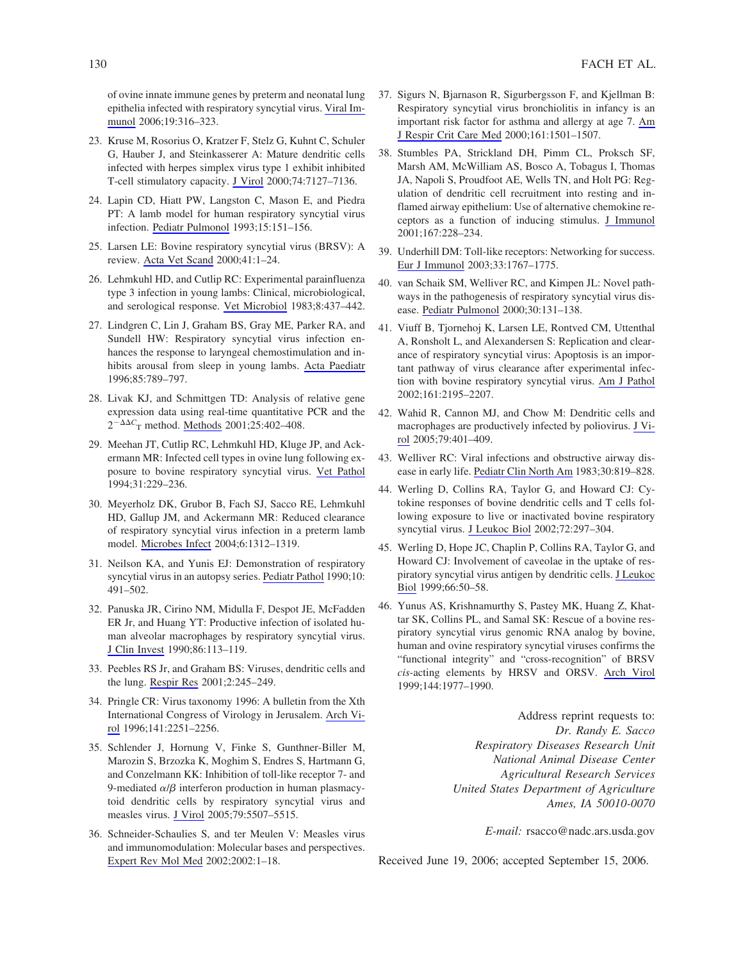of ovine innate immune genes by preterm and neonatal lung epithelia infected with respiratory syncytial virus. Viral Immunol 2006;19:316–323.

- 23. Kruse M, Rosorius O, Kratzer F, Stelz G, Kuhnt C, Schuler G, Hauber J, and Steinkasserer A: Mature dendritic cells infected with herpes simplex virus type 1 exhibit inhibited T-cell stimulatory capacity. J Virol 2000;74:7127–7136.
- 24. Lapin CD, Hiatt PW, Langston C, Mason E, and Piedra PT: A lamb model for human respiratory syncytial virus infection. Pediatr Pulmonol 1993;15:151–156.
- 25. Larsen LE: Bovine respiratory syncytial virus (BRSV): A review. Acta Vet Scand 2000;41:1–24.
- 26. Lehmkuhl HD, and Cutlip RC: Experimental parainfluenza type 3 infection in young lambs: Clinical, microbiological, and serological response. Vet Microbiol 1983;8:437–442.
- 27. Lindgren C, Lin J, Graham BS, Gray ME, Parker RA, and Sundell HW: Respiratory syncytial virus infection enhances the response to laryngeal chemostimulation and inhibits arousal from sleep in young lambs. Acta Paediatr 1996;85:789–797.
- 28. Livak KJ, and Schmittgen TD: Analysis of relative gene expression data using real-time quantitative PCR and the  $2^{-\Delta\Delta}C$ <sub>T</sub> method. Methods 2001;25:402-408.
- 29. Meehan JT, Cutlip RC, Lehmkuhl HD, Kluge JP, and Ackermann MR: Infected cell types in ovine lung following exposure to bovine respiratory syncytial virus. Vet Pathol 1994;31:229–236.
- 30. Meyerholz DK, Grubor B, Fach SJ, Sacco RE, Lehmkuhl HD, Gallup JM, and Ackermann MR: Reduced clearance of respiratory syncytial virus infection in a preterm lamb model. Microbes Infect 2004;6:1312–1319.
- 31. Neilson KA, and Yunis EJ: Demonstration of respiratory syncytial virus in an autopsy series. Pediatr Pathol 1990;10: 491–502.
- 32. Panuska JR, Cirino NM, Midulla F, Despot JE, McFadden ER Jr, and Huang YT: Productive infection of isolated human alveolar macrophages by respiratory syncytial virus. J Clin Invest 1990;86:113–119.
- 33. Peebles RS Jr, and Graham BS: Viruses, dendritic cells and the lung. Respir Res 2001;2:245–249.
- 34. Pringle CR: Virus taxonomy 1996: A bulletin from the Xth International Congress of Virology in Jerusalem. Arch Virol 1996;141:2251–2256.
- 35. Schlender J, Hornung V, Finke S, Gunthner-Biller M, Marozin S, Brzozka K, Moghim S, Endres S, Hartmann G, and Conzelmann KK: Inhibition of toll-like receptor 7- and 9-mediated  $\alpha/\beta$  interferon production in human plasmacytoid dendritic cells by respiratory syncytial virus and measles virus. J Virol 2005;79:5507–5515.
- 36. Schneider-Schaulies S, and ter Meulen V: Measles virus and immunomodulation: Molecular bases and perspectives. Expert Rev Mol Med 2002;2002:1–18.
- 37. Sigurs N, Bjarnason R, Sigurbergsson F, and Kjellman B: Respiratory syncytial virus bronchiolitis in infancy is an important risk factor for asthma and allergy at age 7. Am J Respir Crit Care Med 2000;161:1501–1507.
- 38. Stumbles PA, Strickland DH, Pimm CL, Proksch SF, Marsh AM, McWilliam AS, Bosco A, Tobagus I, Thomas JA, Napoli S, Proudfoot AE, Wells TN, and Holt PG: Regulation of dendritic cell recruitment into resting and inflamed airway epithelium: Use of alternative chemokine receptors as a function of inducing stimulus. J Immunol 2001;167:228–234.
- 39. Underhill DM: Toll-like receptors: Networking for success. Eur J Immunol 2003;33:1767–1775.
- 40. van Schaik SM, Welliver RC, and Kimpen JL: Novel pathways in the pathogenesis of respiratory syncytial virus disease. Pediatr Pulmonol 2000;30:131–138.
- 41. Viuff B, Tjornehoj K, Larsen LE, Rontved CM, Uttenthal A, Ronsholt L, and Alexandersen S: Replication and clearance of respiratory syncytial virus: Apoptosis is an important pathway of virus clearance after experimental infection with bovine respiratory syncytial virus. Am J Pathol 2002;161:2195–2207.
- 42. Wahid R, Cannon MJ, and Chow M: Dendritic cells and macrophages are productively infected by poliovirus. J Virol 2005;79:401–409.
- 43. Welliver RC: Viral infections and obstructive airway disease in early life. Pediatr Clin North Am 1983;30:819–828.
- 44. Werling D, Collins RA, Taylor G, and Howard CJ: Cytokine responses of bovine dendritic cells and T cells following exposure to live or inactivated bovine respiratory syncytial virus. J Leukoc Biol 2002;72:297–304.
- 45. Werling D, Hope JC, Chaplin P, Collins RA, Taylor G, and Howard CJ: Involvement of caveolae in the uptake of respiratory syncytial virus antigen by dendritic cells. J Leukoc Biol 1999;66:50–58.
- 46. Yunus AS, Krishnamurthy S, Pastey MK, Huang Z, Khattar SK, Collins PL, and Samal SK: Rescue of a bovine respiratory syncytial virus genomic RNA analog by bovine, human and ovine respiratory syncytial viruses confirms the "functional integrity" and "cross-recognition" of BRSV *cis*-acting elements by HRSV and ORSV. Arch Virol 1999;144:1977–1990.

Address reprint requests to: *Dr. Randy E. Sacco Respiratory Diseases Research Unit National Animal Disease Center Agricultural Research Services United States Department of Agriculture Ames, IA 50010-0070*

*E-mail:* rsacco@nadc.ars.usda.gov

Received June 19, 2006; accepted September 15, 2006.